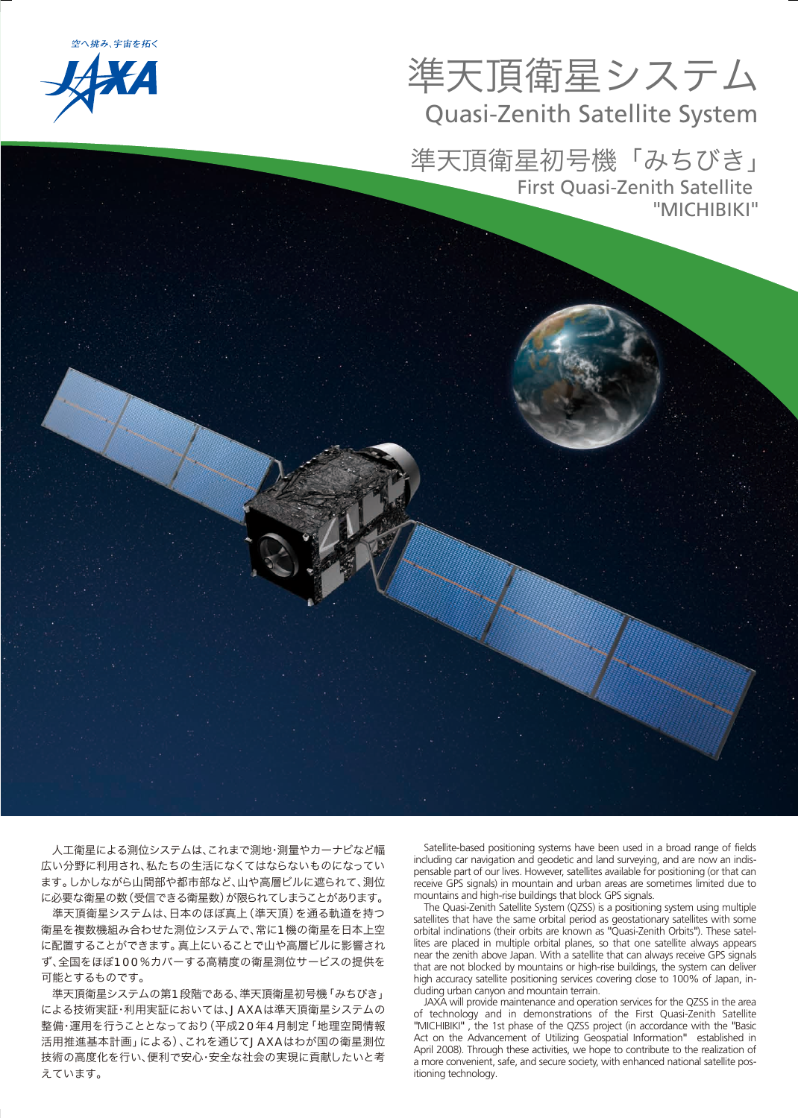空へ挑み、宇宙を拓く



# 準天頂衛星システム Quasi-Zenith Satellite System

準天頂衛星初号機「みちびき」 First Quasi-Zenith Satellite "MICHIBIKI"

 人工衛星による測位システムは、これまで測地・測量やカーナビなど幅 広い分野に利用され、私たちの生活になくてはならないものになってい ます。しかしながら山間部や都市部など、山や高層ビルに遮られて、測位 に必要な衛星の数(受信できる衛星数)が限られてしまうことがあります。

 準天頂衛星システムは、日本のほぼ真上(準天頂)を通る軌道を持つ 衛星を複数機組み合わせた測位システムで、常に1機の衛星を日本上空 に配置することができます。真上にいることで山や高層ビルに影響され ず、全国をほぼ100%カバーする高精度の衛星測位サービスの提供を 可能とするものです。

 準天頂衛星システムの第1段階である、準天頂衛星初号機「みちびき」 による技術実証・利用実証においては、JAXAは準天頂衛星システムの 整備・運用を行うこととなっており(平成20年4月制定「地理空間情報 活用推進基本計画」による)、これを通じてJAXAはわが国の衛星測位 技術の高度化を行い、便利で安心・安全な社会の実現に貢献したいと考 えています。

Satellite-based positioning systems have been used in a broad range of fields including car navigation and geodetic and land surveying, and are now an indispensable part of our lives. However, satellites available for positioning (or that can receive GPS signals) in mountain and urban areas are sometimes limited due to mountains and high-rise buildings that block GPS signals.

The Quasi-Zenith Satellite System (QZSS) is a positioning system using multiple satellites that have the same orbital period as geostationary satellites with some orbital inclinations (their orbits are known as "Quasi-Zenith Orbits"). These satellites are placed in multiple orbital planes, so that one satellite always appears near the zenith above Japan. With a satellite that can always receive GPS signals that are not blocked by mountains or high-rise buildings, the system can deliver high accuracy satellite positioning services covering close to 100% of Japan, including urban canyon and mountain terrain.

JAXA will provide maintenance and operation services for the QZSS in the area of technology and in demonstrations of the First Quasi-Zenith Satellite "MICHIBIKI" , the 1st phase of the QZSS project (in accordance with the "Basic Act on the Advancement of Utilizing Geospatial Information" established in April 2008). Through these activities, we hope to contribute to the realization of a more convenient, safe, and secure society, with enhanced national satellite positioning technology.